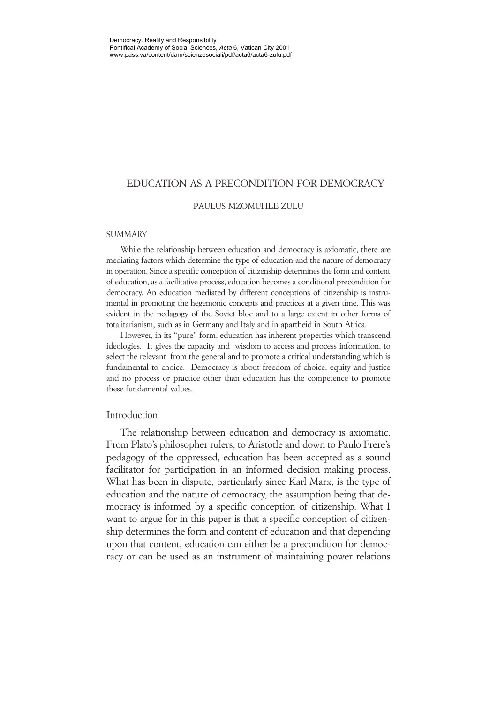# EDUCATION AS A PRECONDITION FOR DEMOCRACY

#### PAULUS MZOMUHLE ZULU

### **SUMMARY**

While the relationship between education and democracy is axiomatic, there are mediating factors which determine the type of education and the nature of democracy in operation. Since a specific conception of citizenship determines the form and content of education, as a facilitative process, education becomes a conditional precondition for democracy. An education mediated by different conceptions of citizenship is instrumental in promoting the hegemonic concepts and practices at a given time. This was evident in the pedagogy of the Soviet bloc and to a large extent in other forms of totalitarianism, such as in Germany and Italy and in apartheid in South Africa.

However, in its "pure" form, education has inherent properties which transcend ideologies. It gives the capacity and wisdom to access and process information, to select the relevant from the general and to promote a critical understanding which is fundamental to choice. Democracy is about freedom of choice, equity and justice and no process or practice other than education has the competence to promote these fundamental values.

### Introduction

The relationship between education and democracy is axiomatic. From Plato's philosopher rulers, to Aristotle and down to Paulo Frere's pedagogy of the oppressed, education has been accepted as a sound facilitator for participation in an informed decision making process. What has been in dispute, particularly since Karl Marx, is the type of education and the nature of democracy, the assumption being that democracy is informed by a specific conception of citizenship. What I want to argue for in this paper is that a specific conception of citizenship determines the form and content of education and that depending upon that content, education can either be a precondition for democracy or can be used as an instrument of maintaining power relations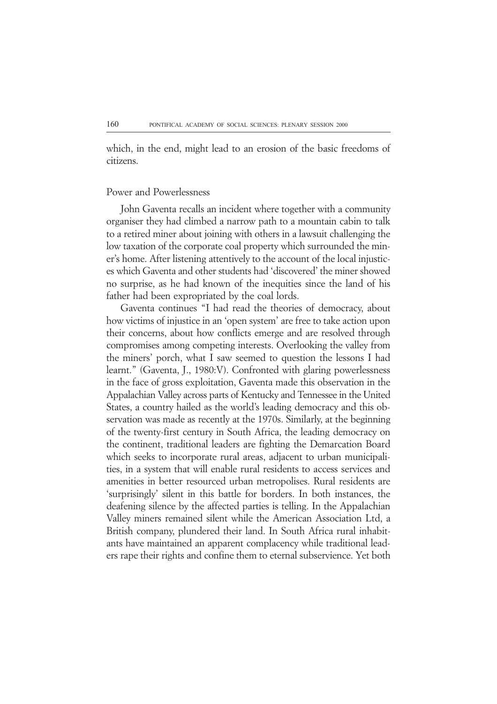which, in the end, might lead to an erosion of the basic freedoms of citizens.

### Power and Powerlessness

John Gaventa recalls an incident where together with a community organiser they had climbed a narrow path to a mountain cabin to talk to a retired miner about joining with others in a lawsuit challenging the low taxation of the corporate coal property which surrounded the miner's home. After listening attentively to the account of the local injustices which Gaventa and other students had 'discovered' the miner showed no surprise, as he had known of the inequities since the land of his father had been expropriated by the coal lords.

Gaventa continues "I had read the theories of democracy, about how victims of injustice in an 'open system' are free to take action upon their concerns, about how conflicts emerge and are resolved through compromises among competing interests. Overlooking the valley from the miners' porch, what I saw seemed to question the lessons I had learnt." (Gaventa, J., 1980:V). Confronted with glaring powerlessness in the face of gross exploitation, Gaventa made this observation in the Appalachian Valley across parts of Kentucky and Tennessee in the United States, a country hailed as the world's leading democracy and this observation was made as recently at the 1970s. Similarly, at the beginning of the twenty-first century in South Africa, the leading democracy on the continent, traditional leaders are fighting the Demarcation Board which seeks to incorporate rural areas, adjacent to urban municipalities, in a system that will enable rural residents to access services and amenities in better resourced urban metropolises. Rural residents are 'surprisingly' silent in this battle for borders. In both instances, the deafening silence by the affected parties is telling. In the Appalachian Valley miners remained silent while the American Association Ltd, a British company, plundered their land. In South Africa rural inhabitants have maintained an apparent complacency while traditional leaders rape their rights and confine them to eternal subservience. Yet both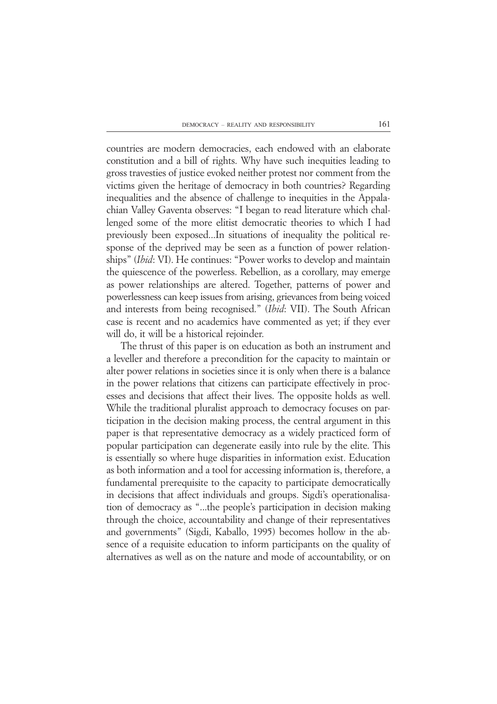countries are modern democracies, each endowed with an elaborate constitution and a bill of rights. Why have such inequities leading to gross travesties of justice evoked neither protest nor comment from the victims given the heritage of democracy in both countries? Regarding inequalities and the absence of challenge to inequities in the Appalachian Valley Gaventa observes: "I began to read literature which challenged some of the more elitist democratic theories to which I had previously been exposed...In situations of inequality the political response of the deprived may be seen as a function of power relationships" (*Ibid*: VI). He continues: "Power works to develop and maintain the quiescence of the powerless. Rebellion, as a corollary, may emerge as power relationships are altered. Together, patterns of power and powerlessness can keep issues from arising, grievances from being voiced and interests from being recognised." (*Ibid*: VII). The South African case is recent and no academics have commented as yet; if they ever will do, it will be a historical rejoinder.

The thrust of this paper is on education as both an instrument and a leveller and therefore a precondition for the capacity to maintain or alter power relations in societies since it is only when there is a balance in the power relations that citizens can participate effectively in processes and decisions that affect their lives. The opposite holds as well. While the traditional pluralist approach to democracy focuses on participation in the decision making process, the central argument in this paper is that representative democracy as a widely practiced form of popular participation can degenerate easily into rule by the elite. This is essentially so where huge disparities in information exist. Education as both information and a tool for accessing information is, therefore, a fundamental prerequisite to the capacity to participate democratically in decisions that affect individuals and groups. Sigdi's operationalisation of democracy as "...the people's participation in decision making through the choice, accountability and change of their representatives and governments" (Sigdi, Kaballo, 1995) becomes hollow in the absence of a requisite education to inform participants on the quality of alternatives as well as on the nature and mode of accountability, or on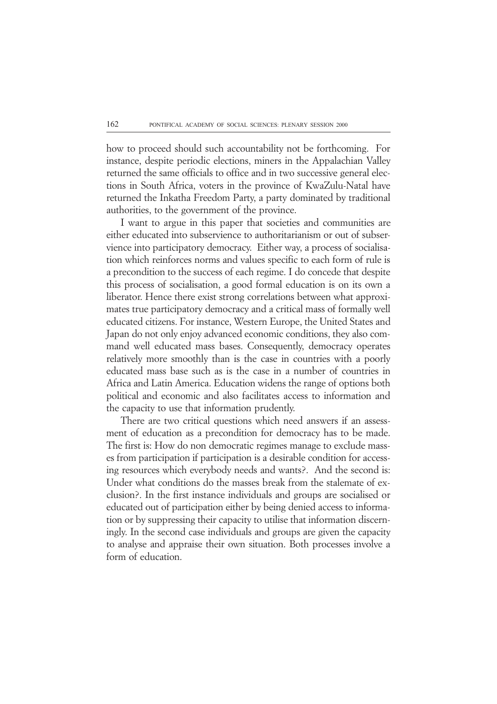how to proceed should such accountability not be forthcoming. For instance, despite periodic elections, miners in the Appalachian Valley returned the same officials to office and in two successive general elections in South Africa, voters in the province of KwaZulu-Natal have returned the Inkatha Freedom Party, a party dominated by traditional authorities, to the government of the province.

I want to argue in this paper that societies and communities are either educated into subservience to authoritarianism or out of subservience into participatory democracy. Either way, a process of socialisation which reinforces norms and values specific to each form of rule is a precondition to the success of each regime. I do concede that despite this process of socialisation, a good formal education is on its own a liberator. Hence there exist strong correlations between what approximates true participatory democracy and a critical mass of formally well educated citizens. For instance, Western Europe, the United States and Japan do not only enjoy advanced economic conditions, they also command well educated mass bases. Consequently, democracy operates relatively more smoothly than is the case in countries with a poorly educated mass base such as is the case in a number of countries in Africa and Latin America. Education widens the range of options both political and economic and also facilitates access to information and the capacity to use that information prudently.

There are two critical questions which need answers if an assessment of education as a precondition for democracy has to be made. The first is: How do non democratic regimes manage to exclude masses from participation if participation is a desirable condition for accessing resources which everybody needs and wants?. And the second is: Under what conditions do the masses break from the stalemate of exclusion?. In the first instance individuals and groups are socialised or educated out of participation either by being denied access to information or by suppressing their capacity to utilise that information discerningly. In the second case individuals and groups are given the capacity to analyse and appraise their own situation. Both processes involve a form of education.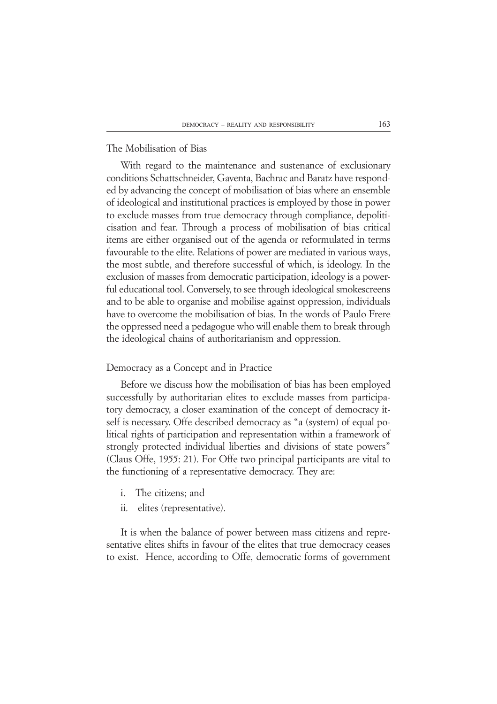# The Mobilisation of Bias

With regard to the maintenance and sustenance of exclusionary conditions Schattschneider, Gaventa, Bachrac and Baratz have responded by advancing the concept of mobilisation of bias where an ensemble of ideological and institutional practices is employed by those in power to exclude masses from true democracy through compliance, depoliticisation and fear. Through a process of mobilisation of bias critical items are either organised out of the agenda or reformulated in terms favourable to the elite. Relations of power are mediated in various ways, the most subtle, and therefore successful of which, is ideology. In the exclusion of masses from democratic participation, ideology is a powerful educational tool. Conversely, to see through ideological smokescreens and to be able to organise and mobilise against oppression, individuals have to overcome the mobilisation of bias. In the words of Paulo Frere the oppressed need a pedagogue who will enable them to break through the ideological chains of authoritarianism and oppression.

### Democracy as a Concept and in Practice

Before we discuss how the mobilisation of bias has been employed successfully by authoritarian elites to exclude masses from participatory democracy, a closer examination of the concept of democracy itself is necessary. Offe described democracy as "a (system) of equal political rights of participation and representation within a framework of strongly protected individual liberties and divisions of state powers" (Claus Offe, 1955: 21). For Offe two principal participants are vital to the functioning of a representative democracy. They are:

- i. The citizens; and
- ii. elites (representative).

It is when the balance of power between mass citizens and representative elites shifts in favour of the elites that true democracy ceases to exist. Hence, according to Offe, democratic forms of government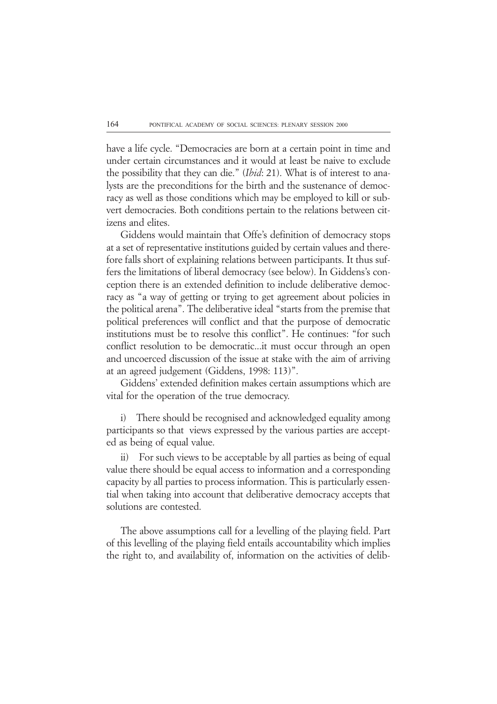have a life cycle. "Democracies are born at a certain point in time and under certain circumstances and it would at least be naive to exclude the possibility that they can die." (*Ibid*: 21). What is of interest to analysts are the preconditions for the birth and the sustenance of democracy as well as those conditions which may be employed to kill or subvert democracies. Both conditions pertain to the relations between citizens and elites.

Giddens would maintain that Offe's definition of democracy stops at a set of representative institutions guided by certain values and therefore falls short of explaining relations between participants. It thus suffers the limitations of liberal democracy (see below). In Giddens's conception there is an extended definition to include deliberative democracy as "a way of getting or trying to get agreement about policies in the political arena". The deliberative ideal "starts from the premise that political preferences will conflict and that the purpose of democratic institutions must be to resolve this conflict". He continues: "for such conflict resolution to be democratic...it must occur through an open and uncoerced discussion of the issue at stake with the aim of arriving at an agreed judgement (Giddens, 1998: 113)".

Giddens' extended definition makes certain assumptions which are vital for the operation of the true democracy.

i) There should be recognised and acknowledged equality among participants so that views expressed by the various parties are accepted as being of equal value.

ii) For such views to be acceptable by all parties as being of equal value there should be equal access to information and a corresponding capacity by all parties to process information. This is particularly essential when taking into account that deliberative democracy accepts that solutions are contested.

The above assumptions call for a levelling of the playing field. Part of this levelling of the playing field entails accountability which implies the right to, and availability of, information on the activities of delib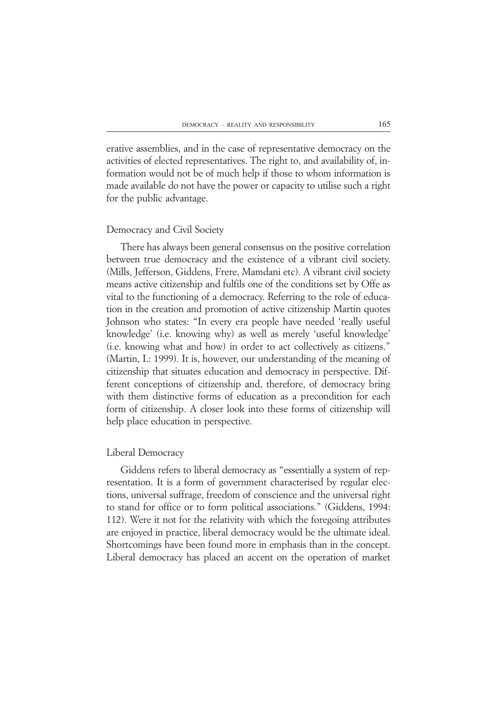erative assemblies, and in the case of representative democracy on the activities of elected representatives. The right to, and availability of, information would not be of much help if those to whom information is made available do not have the power or capacity to utilise such a right for the public advantage.

#### Democracy and Civil Society

There has always been general consensus on the positive correlation between true democracy and the existence of a vibrant civil society. (Mills, Jefferson, Giddens, Frere, Mamdani etc). A vibrant civil society means active citizenship and fulfils one of the conditions set by Offe as vital to the functioning of a democracy. Referring to the role of education in the creation and promotion of active citizenship Martin quotes Johnson who states: "In every era people have needed 'really useful knowledge' (i.e. knowing why) as well as merely 'useful knowledge' (i.e. knowing what and how) in order to act collectively as citizens." (Martin, I.: 1999). It is, however, our understanding of the meaning of citizenship that situates education and democracy in perspective. Different conceptions of citizenship and, therefore, of democracy bring with them distinctive forms of education as a precondition for each form of citizenship. A closer look into these forms of citizenship will help place education in perspective.

## Liberal Democracy

Giddens refers to liberal democracy as "essentially a system of representation. It is a form of government characterised by regular elections, universal suffrage, freedom of conscience and the universal right to stand for office or to form political associations." (Giddens, 1994: 112). Were it not for the relativity with which the foregoing attributes are enjoyed in practice, liberal democracy would be the ultimate ideal. Shortcomings have been found more in emphasis than in the concept. Liberal democracy has placed an accent on the operation of market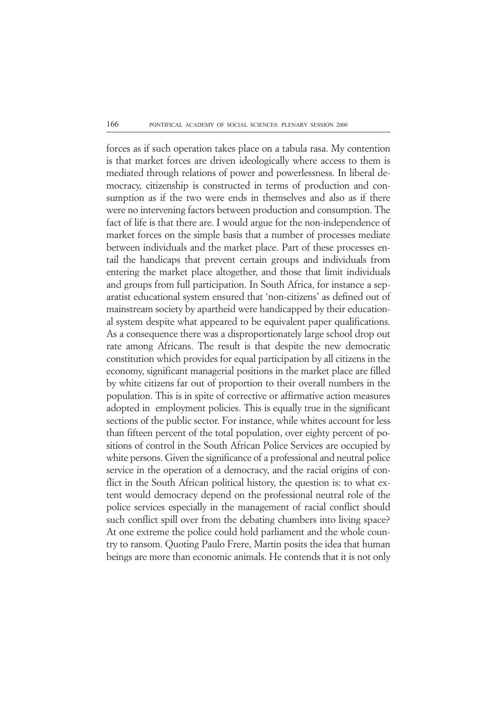forces as if such operation takes place on a tabula rasa. My contention is that market forces are driven ideologically where access to them is mediated through relations of power and powerlessness. In liberal democracy, citizenship is constructed in terms of production and consumption as if the two were ends in themselves and also as if there were no intervening factors between production and consumption. The fact of life is that there are. I would argue for the non-independence of market forces on the simple basis that a number of processes mediate between individuals and the market place. Part of these processes entail the handicaps that prevent certain groups and individuals from entering the market place altogether, and those that limit individuals and groups from full participation. In South Africa, for instance a separatist educational system ensured that 'non-citizens' as defined out of mainstream society by apartheid were handicapped by their educational system despite what appeared to be equivalent paper qualifications. As a consequence there was a disproportionately large school drop out rate among Africans. The result is that despite the new democratic constitution which provides for equal participation by all citizens in the economy, significant managerial positions in the market place are filled by white citizens far out of proportion to their overall numbers in the population. This is in spite of corrective or affirmative action measures adopted in employment policies. This is equally true in the significant sections of the public sector. For instance, while whites account for less than fifteen percent of the total population, over eighty percent of positions of control in the South African Police Services are occupied by white persons. Given the significance of a professional and neutral police service in the operation of a democracy, and the racial origins of conflict in the South African political history, the question is: to what extent would democracy depend on the professional neutral role of the police services especially in the management of racial conflict should such conflict spill over from the debating chambers into living space? At one extreme the police could hold parliament and the whole country to ransom. Quoting Paulo Frere, Martin posits the idea that human beings are more than economic animals. He contends that it is not only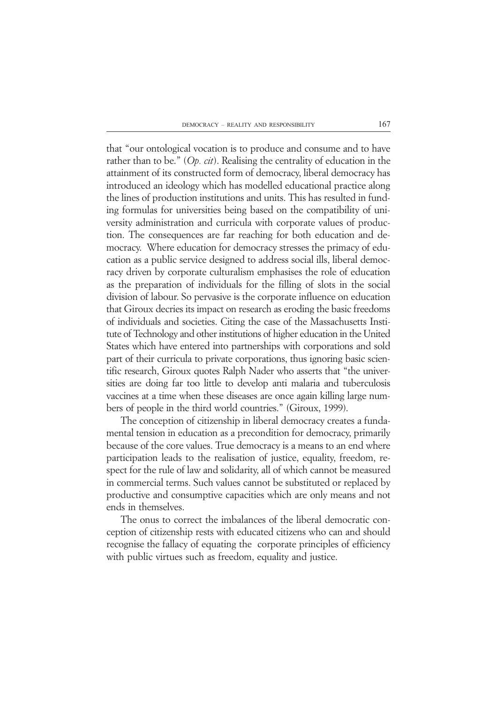that "our ontological vocation is to produce and consume and to have rather than to be." (*Op. cit*). Realising the centrality of education in the attainment of its constructed form of democracy, liberal democracy has introduced an ideology which has modelled educational practice along the lines of production institutions and units. This has resulted in funding formulas for universities being based on the compatibility of university administration and curricula with corporate values of production. The consequences are far reaching for both education and democracy. Where education for democracy stresses the primacy of education as a public service designed to address social ills, liberal democracy driven by corporate culturalism emphasises the role of education as the preparation of individuals for the filling of slots in the social division of labour. So pervasive is the corporate influence on education that Giroux decries its impact on research as eroding the basic freedoms of individuals and societies. Citing the case of the Massachusetts Institute of Technology and other institutions of higher education in the United States which have entered into partnerships with corporations and sold part of their curricula to private corporations, thus ignoring basic scientific research, Giroux quotes Ralph Nader who asserts that "the universities are doing far too little to develop anti malaria and tuberculosis vaccines at a time when these diseases are once again killing large numbers of people in the third world countries." (Giroux, 1999).

The conception of citizenship in liberal democracy creates a fundamental tension in education as a precondition for democracy, primarily because of the core values. True democracy is a means to an end where participation leads to the realisation of justice, equality, freedom, respect for the rule of law and solidarity, all of which cannot be measured in commercial terms. Such values cannot be substituted or replaced by productive and consumptive capacities which are only means and not ends in themselves.

The onus to correct the imbalances of the liberal democratic conception of citizenship rests with educated citizens who can and should recognise the fallacy of equating the corporate principles of efficiency with public virtues such as freedom, equality and justice.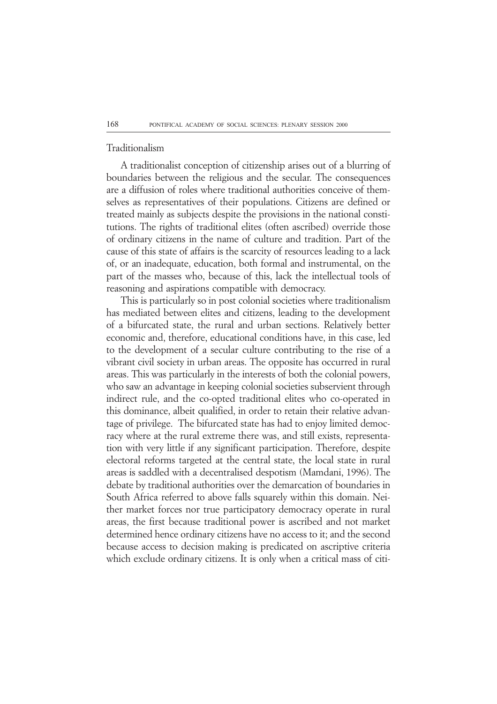### Traditionalism

A traditionalist conception of citizenship arises out of a blurring of boundaries between the religious and the secular. The consequences are a diffusion of roles where traditional authorities conceive of themselves as representatives of their populations. Citizens are defined or treated mainly as subjects despite the provisions in the national constitutions. The rights of traditional elites (often ascribed) override those of ordinary citizens in the name of culture and tradition. Part of the cause of this state of affairs is the scarcity of resources leading to a lack of, or an inadequate, education, both formal and instrumental, on the part of the masses who, because of this, lack the intellectual tools of reasoning and aspirations compatible with democracy.

This is particularly so in post colonial societies where traditionalism has mediated between elites and citizens, leading to the development of a bifurcated state, the rural and urban sections. Relatively better economic and, therefore, educational conditions have, in this case, led to the development of a secular culture contributing to the rise of a vibrant civil society in urban areas. The opposite has occurred in rural areas. This was particularly in the interests of both the colonial powers, who saw an advantage in keeping colonial societies subservient through indirect rule, and the co-opted traditional elites who co-operated in this dominance, albeit qualified, in order to retain their relative advantage of privilege. The bifurcated state has had to enjoy limited democracy where at the rural extreme there was, and still exists, representation with very little if any significant participation. Therefore, despite electoral reforms targeted at the central state, the local state in rural areas is saddled with a decentralised despotism (Mamdani, 1996). The debate by traditional authorities over the demarcation of boundaries in South Africa referred to above falls squarely within this domain. Neither market forces nor true participatory democracy operate in rural areas, the first because traditional power is ascribed and not market determined hence ordinary citizens have no access to it; and the second because access to decision making is predicated on ascriptive criteria which exclude ordinary citizens. It is only when a critical mass of citi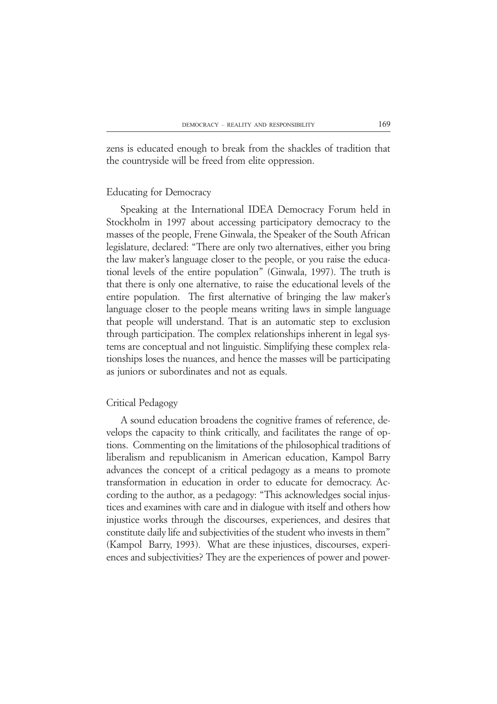zens is educated enough to break from the shackles of tradition that the countryside will be freed from elite oppression.

### Educating for Democracy

Speaking at the International IDEA Democracy Forum held in Stockholm in 1997 about accessing participatory democracy to the masses of the people, Frene Ginwala, the Speaker of the South African legislature, declared: "There are only two alternatives, either you bring the law maker's language closer to the people, or you raise the educational levels of the entire population" (Ginwala, 1997). The truth is that there is only one alternative, to raise the educational levels of the entire population. The first alternative of bringing the law maker's language closer to the people means writing laws in simple language that people will understand. That is an automatic step to exclusion through participation. The complex relationships inherent in legal systems are conceptual and not linguistic. Simplifying these complex relationships loses the nuances, and hence the masses will be participating as juniors or subordinates and not as equals.

### Critical Pedagogy

A sound education broadens the cognitive frames of reference, develops the capacity to think critically, and facilitates the range of options. Commenting on the limitations of the philosophical traditions of liberalism and republicanism in American education, Kampol Barry advances the concept of a critical pedagogy as a means to promote transformation in education in order to educate for democracy. According to the author, as a pedagogy: "This acknowledges social injustices and examines with care and in dialogue with itself and others how injustice works through the discourses, experiences, and desires that constitute daily life and subjectivities of the student who invests in them" (Kampol Barry, 1993). What are these injustices, discourses, experiences and subjectivities? They are the experiences of power and power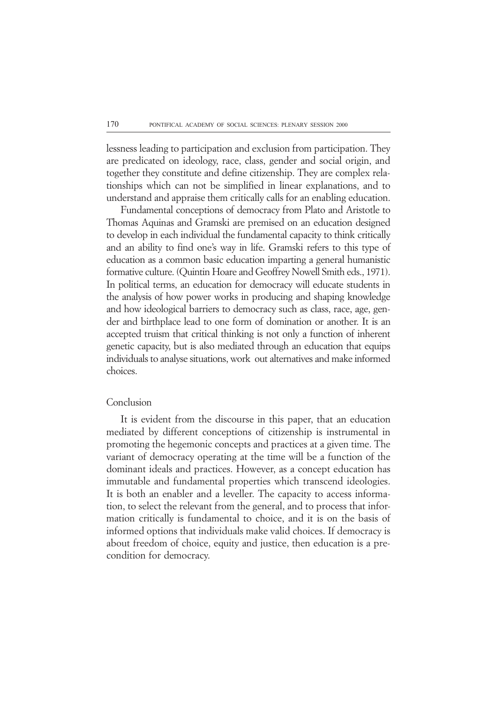lessness leading to participation and exclusion from participation. They are predicated on ideology, race, class, gender and social origin, and together they constitute and define citizenship. They are complex relationships which can not be simplified in linear explanations, and to understand and appraise them critically calls for an enabling education.

Fundamental conceptions of democracy from Plato and Aristotle to Thomas Aquinas and Gramski are premised on an education designed to develop in each individual the fundamental capacity to think critically and an ability to find one's way in life. Gramski refers to this type of education as a common basic education imparting a general humanistic formative culture. (Quintin Hoare and Geoffrey Nowell Smith eds., 1971). In political terms, an education for democracy will educate students in the analysis of how power works in producing and shaping knowledge and how ideological barriers to democracy such as class, race, age, gender and birthplace lead to one form of domination or another. It is an accepted truism that critical thinking is not only a function of inherent genetic capacity, but is also mediated through an education that equips individuals to analyse situations, work out alternatives and make informed choices.

## Conclusion

It is evident from the discourse in this paper, that an education mediated by different conceptions of citizenship is instrumental in promoting the hegemonic concepts and practices at a given time. The variant of democracy operating at the time will be a function of the dominant ideals and practices. However, as a concept education has immutable and fundamental properties which transcend ideologies. It is both an enabler and a leveller. The capacity to access information, to select the relevant from the general, and to process that information critically is fundamental to choice, and it is on the basis of informed options that individuals make valid choices. If democracy is about freedom of choice, equity and justice, then education is a precondition for democracy.